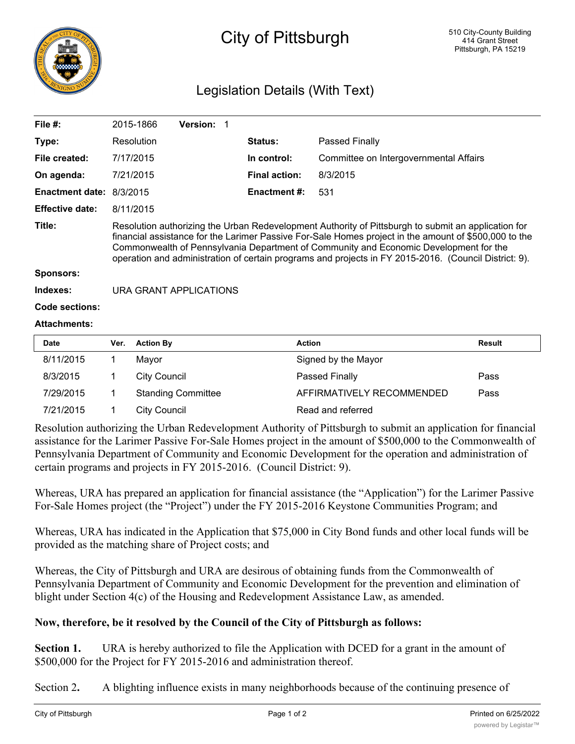

## City of Pittsburgh

## Legislation Details (With Text)

| File $#$ :               | 2015-1866                                                                                                                                                                                                                                                                                                                                                                                                      | <b>Version: 1</b> |                     |                      |                                        |  |  |
|--------------------------|----------------------------------------------------------------------------------------------------------------------------------------------------------------------------------------------------------------------------------------------------------------------------------------------------------------------------------------------------------------------------------------------------------------|-------------------|---------------------|----------------------|----------------------------------------|--|--|
| Type:                    | Resolution                                                                                                                                                                                                                                                                                                                                                                                                     |                   |                     | <b>Status:</b>       | Passed Finally                         |  |  |
| File created:            | 7/17/2015                                                                                                                                                                                                                                                                                                                                                                                                      |                   |                     | In control:          | Committee on Intergovernmental Affairs |  |  |
| On agenda:               | 7/21/2015                                                                                                                                                                                                                                                                                                                                                                                                      |                   |                     | <b>Final action:</b> | 8/3/2015                               |  |  |
| Enactment date: 8/3/2015 |                                                                                                                                                                                                                                                                                                                                                                                                                |                   | <b>Enactment #:</b> | 531                  |                                        |  |  |
| <b>Effective date:</b>   | 8/11/2015                                                                                                                                                                                                                                                                                                                                                                                                      |                   |                     |                      |                                        |  |  |
| Title:                   | Resolution authorizing the Urban Redevelopment Authority of Pittsburgh to submit an application for<br>financial assistance for the Larimer Passive For-Sale Homes project in the amount of \$500,000 to the<br>Commonwealth of Pennsylvania Department of Community and Economic Development for the<br>operation and administration of certain programs and projects in FY 2015-2016. (Council District: 9). |                   |                     |                      |                                        |  |  |
| <b>Sponsors:</b>         |                                                                                                                                                                                                                                                                                                                                                                                                                |                   |                     |                      |                                        |  |  |
| Indexes:                 | URA GRANT APPLICATIONS                                                                                                                                                                                                                                                                                                                                                                                         |                   |                     |                      |                                        |  |  |
| <b>Code sections:</b>    |                                                                                                                                                                                                                                                                                                                                                                                                                |                   |                     |                      |                                        |  |  |
| <b>Attachments:</b>      |                                                                                                                                                                                                                                                                                                                                                                                                                |                   |                     |                      |                                        |  |  |
|                          |                                                                                                                                                                                                                                                                                                                                                                                                                |                   |                     |                      |                                        |  |  |

| <b>Date</b> | Ver. | <b>Action By</b>          | <b>Action</b>             | Result |
|-------------|------|---------------------------|---------------------------|--------|
| 8/11/2015   |      | Mavor                     | Signed by the Mayor       |        |
| 8/3/2015    |      | City Council              | Passed Finally            | Pass   |
| 7/29/2015   |      | <b>Standing Committee</b> | AFFIRMATIVELY RECOMMENDED | Pass   |
| 7/21/2015   |      | City Council              | Read and referred         |        |

Resolution authorizing the Urban Redevelopment Authority of Pittsburgh to submit an application for financial assistance for the Larimer Passive For-Sale Homes project in the amount of \$500,000 to the Commonwealth of Pennsylvania Department of Community and Economic Development for the operation and administration of certain programs and projects in FY 2015-2016. (Council District: 9).

Whereas, URA has prepared an application for financial assistance (the "Application") for the Larimer Passive For-Sale Homes project (the "Project") under the FY 2015-2016 Keystone Communities Program; and

Whereas, URA has indicated in the Application that \$75,000 in City Bond funds and other local funds will be provided as the matching share of Project costs; and

Whereas, the City of Pittsburgh and URA are desirous of obtaining funds from the Commonwealth of Pennsylvania Department of Community and Economic Development for the prevention and elimination of blight under Section 4(c) of the Housing and Redevelopment Assistance Law, as amended.

## **Now, therefore, be it resolved by the Council of the City of Pittsburgh as follows:**

**Section 1.** URA is hereby authorized to file the Application with DCED for a grant in the amount of \$500,000 for the Project for FY 2015-2016 and administration thereof.

Section 2**.** A blighting influence exists in many neighborhoods because of the continuing presence of